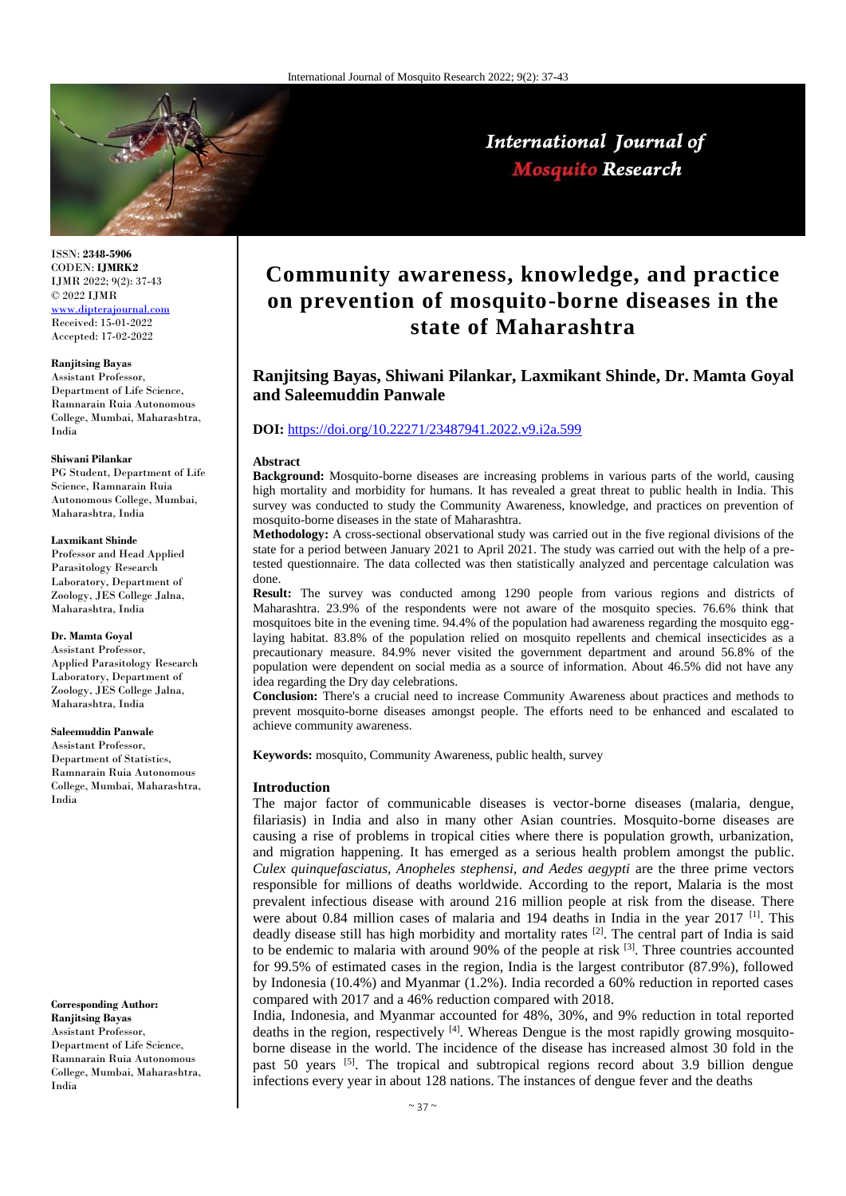

ISSN: **2348-5906** CODEN: **IJMRK2** IJMR 2022; 9(2): 37-43 © 2022 IJMR [www.dipterajournal.com](file://server/d/Mosquito/Issue/8%20Volume/www.dipterajournal.com)

Received: 15-01-2022 Accepted: 17-02-2022

#### **Ranjitsing Bayas**

Assistant Professor, Department of Life Science, Ramnarain Ruia Autonomous College, Mumbai, Maharashtra, India

#### **Shiwani Pilankar**

PG Student, Department of Life Science, Ramnarain Ruia Autonomous College, Mumbai, Maharashtra, India

#### **Laxmikant Shinde**

Professor and Head Applied Parasitology Research Laboratory, Department of Zoology, JES College Jalna, Maharashtra, India

#### **Dr. Mamta Goyal**

Assistant Professor, Applied Parasitology Research Laboratory, Department of Zoology, JES College Jalna, Maharashtra, India

#### **Saleemuddin Panwale**

Assistant Professor, Department of Statistics, Ramnarain Ruia Autonomous College, Mumbai, Maharashtra, India

**Corresponding Author: Ranjitsing Bayas** Assistant Professor, Department of Life Science, Ramnarain Ruia Autonomous College, Mumbai, Maharashtra, India

# **Community awareness, knowledge, and practice on prevention of mosquito-borne diseases in the state of Maharashtra**

International Journal of **Mosquito Research** 

# **Ranjitsing Bayas, Shiwani Pilankar, Laxmikant Shinde, Dr. Mamta Goyal and Saleemuddin Panwale**

# **DOI:** <https://doi.org/10.22271/23487941.2022.v9.i2a.599>

#### **Abstract**

**Background:** Mosquito-borne diseases are increasing problems in various parts of the world, causing high mortality and morbidity for humans. It has revealed a great threat to public health in India. This survey was conducted to study the Community Awareness, knowledge, and practices on prevention of mosquito-borne diseases in the state of Maharashtra.

**Methodology:** A cross-sectional observational study was carried out in the five regional divisions of the state for a period between January 2021 to April 2021. The study was carried out with the help of a pretested questionnaire. The data collected was then statistically analyzed and percentage calculation was done.

**Result:** The survey was conducted among 1290 people from various regions and districts of Maharashtra. 23.9% of the respondents were not aware of the mosquito species. 76.6% think that mosquitoes bite in the evening time. 94.4% of the population had awareness regarding the mosquito egglaying habitat. 83.8% of the population relied on mosquito repellents and chemical insecticides as a precautionary measure. 84.9% never visited the government department and around 56.8% of the population were dependent on social media as a source of information. About 46.5% did not have any idea regarding the Dry day celebrations.

**Conclusion:** There's a crucial need to increase Community Awareness about practices and methods to prevent mosquito-borne diseases amongst people. The efforts need to be enhanced and escalated to achieve community awareness.

**Keywords:** mosquito, Community Awareness, public health, survey

#### **Introduction**

The major factor of communicable diseases is vector-borne diseases (malaria, dengue, filariasis) in India and also in many other Asian countries. Mosquito-borne diseases are causing a rise of problems in tropical cities where there is population growth, urbanization, and migration happening. It has emerged as a serious health problem amongst the public. *Culex quinquefasciatus, Anopheles stephensi, and Aedes aegypti* are the three prime vectors responsible for millions of deaths worldwide. According to the report, Malaria is the most prevalent infectious disease with around 216 million people at risk from the disease. There were about 0.84 million cases of malaria and 194 deaths in India in the year 2017  $^{[1]}$ . This deadly disease still has high morbidity and mortality rates  $^{[2]}$ . The central part of India is said to be endemic to malaria with around  $90\%$  of the people at risk  $^{[3]}$ . Three countries accounted for 99.5% of estimated cases in the region, India is the largest contributor (87.9%), followed by Indonesia (10.4%) and Myanmar (1.2%). India recorded a 60% reduction in reported cases compared with 2017 and a 46% reduction compared with 2018.

India, Indonesia, and Myanmar accounted for 48%, 30%, and 9% reduction in total reported deaths in the region, respectively  $[4]$ . Whereas Dengue is the most rapidly growing mosquitoborne disease in the world. The incidence of the disease has increased almost 30 fold in the past 50 years [5]. The tropical and subtropical regions record about 3.9 billion dengue infections every year in about 128 nations. The instances of dengue fever and the deaths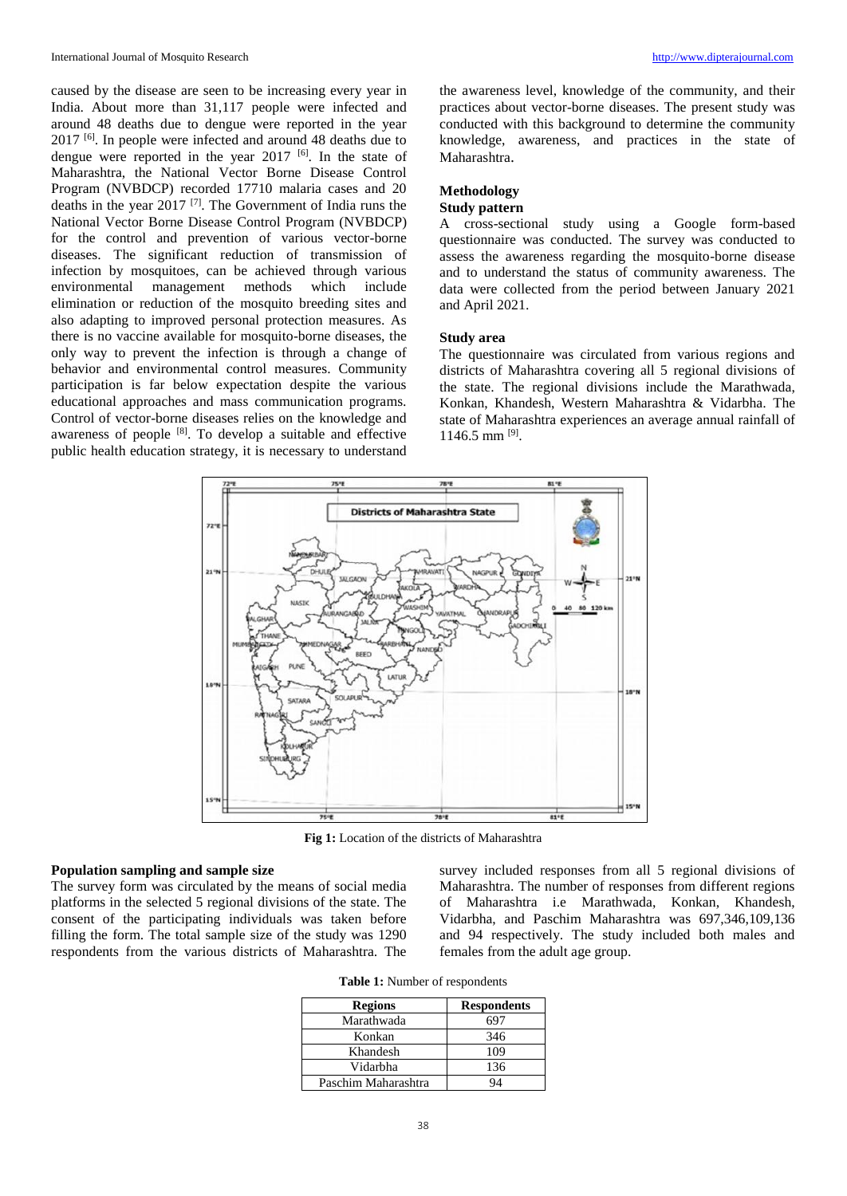caused by the disease are seen to be increasing every year in India. About more than 31,117 people were infected and around 48 deaths due to dengue were reported in the year 2017 [6]. In people were infected and around 48 deaths due to dengue were reported in the year  $2017$  [6]. In the state of Maharashtra, the National Vector Borne Disease Control Program (NVBDCP) recorded 17710 malaria cases and 20 deaths in the year 2017 [7] . The Government of India runs the National Vector Borne Disease Control Program (NVBDCP) for the control and prevention of various vector-borne diseases. The significant reduction of transmission of infection by mosquitoes, can be achieved through various environmental management methods which include elimination or reduction of the mosquito breeding sites and also adapting to improved personal protection measures. As there is no vaccine available for mosquito-borne diseases, the only way to prevent the infection is through a change of behavior and environmental control measures. Community participation is far below expectation despite the various educational approaches and mass communication programs. Control of vector-borne diseases relies on the knowledge and awareness of people <sup>[8]</sup>. To develop a suitable and effective public health education strategy, it is necessary to understand

the awareness level, knowledge of the community, and their practices about vector-borne diseases. The present study was conducted with this background to determine the community knowledge, awareness, and practices in the state of Maharashtra.

# **Methodology**

### **Study pattern**

A cross-sectional study using a Google form-based questionnaire was conducted. The survey was conducted to assess the awareness regarding the mosquito-borne disease and to understand the status of community awareness. The data were collected from the period between January 2021 and April 2021.

#### **Study area**

The questionnaire was circulated from various regions and districts of Maharashtra covering all 5 regional divisions of the state. The regional divisions include the Marathwada, Konkan, Khandesh, Western Maharashtra & Vidarbha. The state of Maharashtra experiences an average annual rainfall of 1146.5 mm [9] .



**Fig 1:** Location of the districts of Maharashtra

# **Population sampling and sample size**

The survey form was circulated by the means of social media platforms in the selected 5 regional divisions of the state. The consent of the participating individuals was taken before filling the form. The total sample size of the study was 1290 respondents from the various districts of Maharashtra. The

survey included responses from all 5 regional divisions of Maharashtra. The number of responses from different regions of Maharashtra i.e Marathwada, Konkan, Khandesh, Vidarbha, and Paschim Maharashtra was 697,346,109,136 and 94 respectively. The study included both males and females from the adult age group.

| <b>Regions</b>      | <b>Respondents</b> |
|---------------------|--------------------|
| Marathwada          | 697                |
| Konkan              | 346                |
| Khandesh            | 109                |
| Vidarbha            | 136                |
| Paschim Maharashtra |                    |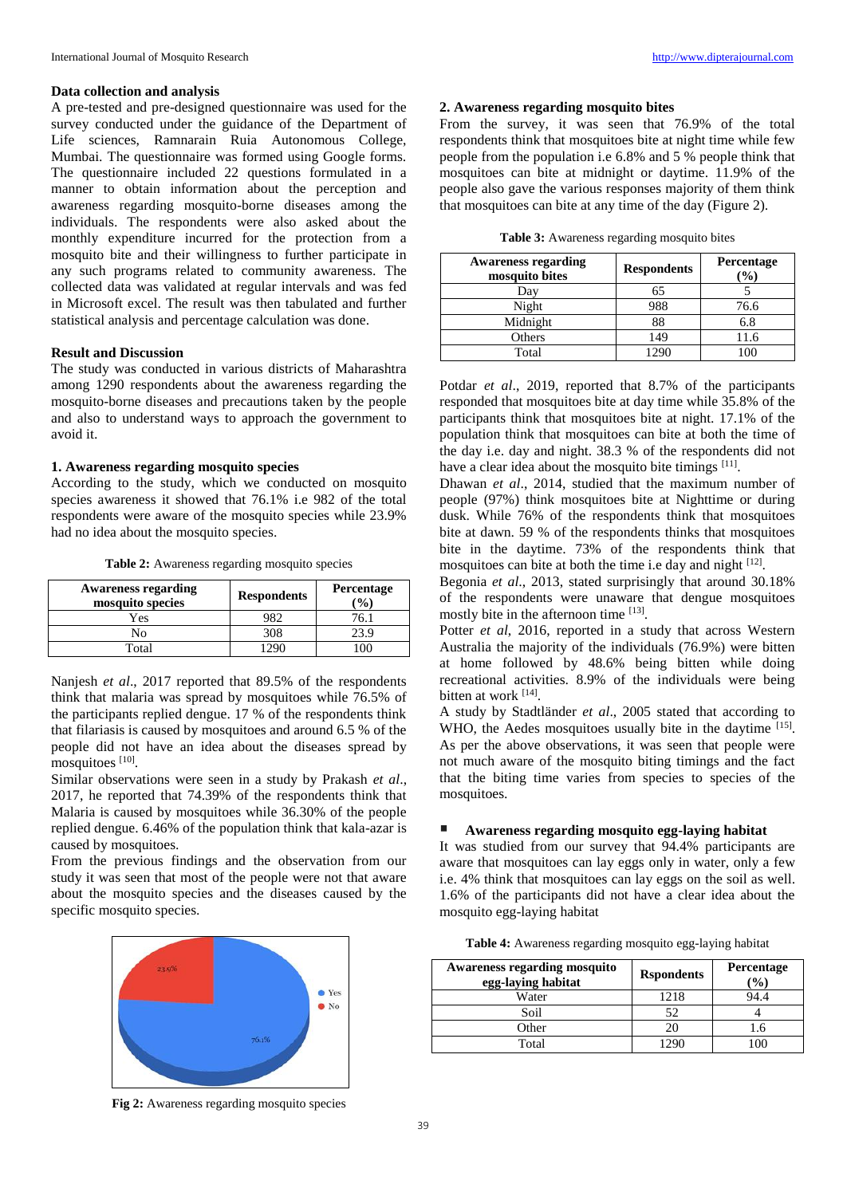#### **Data collection and analysis**

A pre-tested and pre-designed questionnaire was used for the survey conducted under the guidance of the Department of Life sciences, Ramnarain Ruia Autonomous College, Mumbai. The questionnaire was formed using Google forms. The questionnaire included 22 questions formulated in a manner to obtain information about the perception and awareness regarding mosquito-borne diseases among the individuals. The respondents were also asked about the monthly expenditure incurred for the protection from a mosquito bite and their willingness to further participate in any such programs related to community awareness. The collected data was validated at regular intervals and was fed in Microsoft excel. The result was then tabulated and further statistical analysis and percentage calculation was done.

#### **Result and Discussion**

The study was conducted in various districts of Maharashtra among 1290 respondents about the awareness regarding the mosquito-borne diseases and precautions taken by the people and also to understand ways to approach the government to avoid it.

# **1. Awareness regarding mosquito species**

According to the study, which we conducted on mosquito species awareness it showed that 76.1% i.e 982 of the total respondents were aware of the mosquito species while 23.9% had no idea about the mosquito species.

**Table 2:** Awareness regarding mosquito species

| <b>Awareness regarding</b><br>mosquito species | <b>Respondents</b> | Percentage<br>$\mathcal{O}_0$ |
|------------------------------------------------|--------------------|-------------------------------|
| Yes                                            | 182.               | 76.1                          |
| No                                             | 308                |                               |
| Total                                          |                    |                               |

Nanjesh *et al*., 2017 reported that 89.5% of the respondents think that malaria was spread by mosquitoes while 76.5% of the participants replied dengue. 17 % of the respondents think that filariasis is caused by mosquitoes and around 6.5 % of the people did not have an idea about the diseases spread by mosquitoes [10].

Similar observations were seen in a study by Prakash *et al*., 2017, he reported that 74.39% of the respondents think that Malaria is caused by mosquitoes while 36.30% of the people replied dengue. 6.46% of the population think that kala-azar is caused by mosquitoes.

From the previous findings and the observation from our study it was seen that most of the people were not that aware about the mosquito species and the diseases caused by the specific mosquito species.



# **2. Awareness regarding mosquito bites**

From the survey, it was seen that 76.9% of the total respondents think that mosquitoes bite at night time while few people from the population i.e 6.8% and 5 % people think that mosquitoes can bite at midnight or daytime. 11.9% of the people also gave the various responses majority of them think that mosquitoes can bite at any time of the day (Figure 2).

| Table 3: Awareness regarding mosquito bites |  |  |
|---------------------------------------------|--|--|
|                                             |  |  |

| <b>Awareness regarding</b><br>mosquito bites | <b>Respondents</b> | Percentage<br>$\frac{9}{0}$ |
|----------------------------------------------|--------------------|-----------------------------|
| Day                                          | 65                 |                             |
| Night                                        | 988                | 76.6                        |
| Midnight                                     | 88                 | 6.8                         |
| Others                                       | 149                | 11.6                        |
| Total                                        | 1290               | 100                         |

Potdar *et al*., 2019, reported that 8.7% of the participants responded that mosquitoes bite at day time while 35.8% of the participants think that mosquitoes bite at night. 17.1% of the population think that mosquitoes can bite at both the time of the day i.e. day and night. 38.3 % of the respondents did not have a clear idea about the mosquito bite timings [11].

Dhawan *et al*., 2014, studied that the maximum number of people (97%) think mosquitoes bite at Nighttime or during dusk. While 76% of the respondents think that mosquitoes bite at dawn. 59 % of the respondents thinks that mosquitoes bite in the daytime. 73% of the respondents think that mosquitoes can bite at both the time i.e day and night  $[12]$ .

Begonia *et al*., 2013, stated surprisingly that around 30.18% of the respondents were unaware that dengue mosquitoes mostly bite in the afternoon time [13].

Potter *et al*, 2016, reported in a study that across Western Australia the majority of the individuals (76.9%) were bitten at home followed by 48.6% being bitten while doing recreational activities. 8.9% of the individuals were being bitten at work [14].

A study by Stadtländer *et al*., 2005 stated that according to WHO, the Aedes mosquitoes usually bite in the daytime [15]. As per the above observations, it was seen that people were not much aware of the mosquito biting timings and the fact that the biting time varies from species to species of the mosquitoes.

# **Awareness regarding mosquito egg-laying habitat**

It was studied from our survey that 94.4% participants are aware that mosquitoes can lay eggs only in water, only a few i.e. 4% think that mosquitoes can lay eggs on the soil as well. 1.6% of the participants did not have a clear idea about the mosquito egg-laying habitat

| Table 4: Awareness regarding mosquito egg-laying habitat |  |  |  |  |
|----------------------------------------------------------|--|--|--|--|
|----------------------------------------------------------|--|--|--|--|

| <b>Awareness regarding mosquito</b><br>egg-laying habitat | <b>R</b> spondents | Percentage<br>$(°_0)$ |
|-----------------------------------------------------------|--------------------|-----------------------|
| Water                                                     | 1218               | 94.4                  |
| Soil                                                      | 52                 |                       |
| Other                                                     | 20                 | .6                    |
| Total                                                     |                    |                       |

**Fig 2:** Awareness regarding mosquito species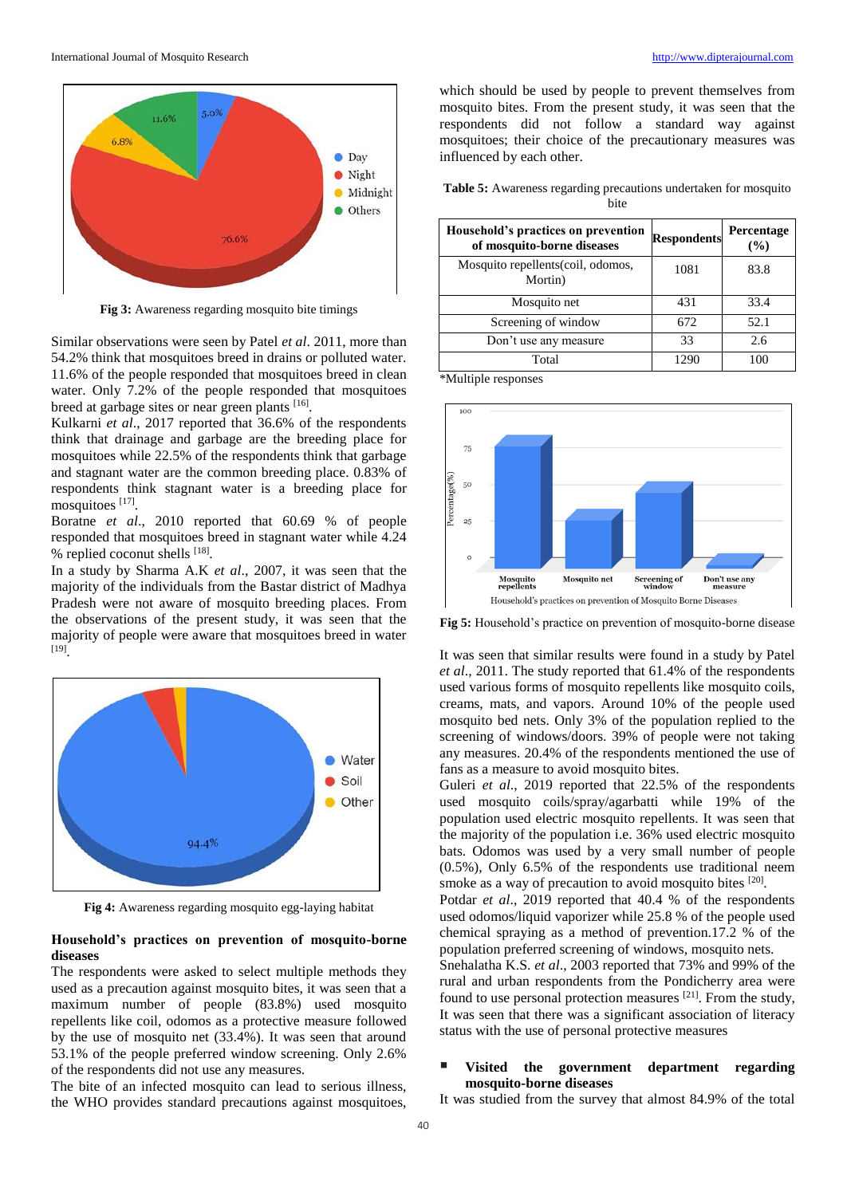

**Fig 3:** Awareness regarding mosquito bite timings

Similar observations were seen by Patel *et al*. 2011, more than 54.2% think that mosquitoes breed in drains or polluted water. 11.6% of the people responded that mosquitoes breed in clean water. Only 7.2% of the people responded that mosquitoes breed at garbage sites or near green plants [16].

Kulkarni *et al*., 2017 reported that 36.6% of the respondents think that drainage and garbage are the breeding place for mosquitoes while 22.5% of the respondents think that garbage and stagnant water are the common breeding place. 0.83% of respondents think stagnant water is a breeding place for mosquitoes [17].

Boratne *et al*., 2010 reported that 60.69 % of people responded that mosquitoes breed in stagnant water while 4.24 % replied coconut shells [18].

In a study by Sharma A.K *et al*., 2007, it was seen that the majority of the individuals from the Bastar district of Madhya Pradesh were not aware of mosquito breeding places. From the observations of the present study, it was seen that the majority of people were aware that mosquitoes breed in water [19] .



**Fig 4:** Awareness regarding mosquito egg-laying habitat

# **Household's practices on prevention of mosquito-borne diseases**

The respondents were asked to select multiple methods they used as a precaution against mosquito bites, it was seen that a maximum number of people (83.8%) used mosquito repellents like coil, odomos as a protective measure followed by the use of mosquito net (33.4%). It was seen that around 53.1% of the people preferred window screening. Only 2.6% of the respondents did not use any measures.

The bite of an infected mosquito can lead to serious illness, the WHO provides standard precautions against mosquitoes,

which should be used by people to prevent themselves from mosquito bites. From the present study, it was seen that the respondents did not follow a standard way against mosquitoes; their choice of the precautionary measures was influenced by each other.

**Table 5:** Awareness regarding precautions undertaken for mosquito bite

| Household's practices on prevention<br>of mosquito-borne diseases | <b>Respondents</b> | Percentage<br>(%) |
|-------------------------------------------------------------------|--------------------|-------------------|
| Mosquito repellents(coil, odomos,<br>Mortin)                      | 1081               | 83.8              |
| Mosquito net                                                      | 431                | 33.4              |
| Screening of window                                               | 672                | 52.1              |
| Don't use any measure                                             | 33                 | 2.6               |
| Total                                                             |                    |                   |

\*Multiple responses



**Fig 5:** Household's practice on prevention of mosquito-borne disease

It was seen that similar results were found in a study by Patel *et al*., 2011. The study reported that 61.4% of the respondents used various forms of mosquito repellents like mosquito coils, creams, mats, and vapors. Around 10% of the people used mosquito bed nets. Only 3% of the population replied to the screening of windows/doors. 39% of people were not taking any measures. 20.4% of the respondents mentioned the use of fans as a measure to avoid mosquito bites.

Guleri *et al*., 2019 reported that 22.5% of the respondents used mosquito coils/spray/agarbatti while 19% of the population used electric mosquito repellents. It was seen that the majority of the population i.e. 36% used electric mosquito bats. Odomos was used by a very small number of people (0.5%), Only 6.5% of the respondents use traditional neem smoke as a way of precaution to avoid mosquito bites [20].

Potdar *et al*., 2019 reported that 40.4 % of the respondents used odomos/liquid vaporizer while 25.8 % of the people used chemical spraying as a method of prevention.17.2 % of the population preferred screening of windows, mosquito nets.

Snehalatha K.S. *et al*., 2003 reported that 73% and 99% of the rural and urban respondents from the Pondicherry area were found to use personal protection measures [21]. From the study, It was seen that there was a significant association of literacy status with the use of personal protective measures

# **Visited the government department regarding mosquito-borne diseases**

It was studied from the survey that almost 84.9% of the total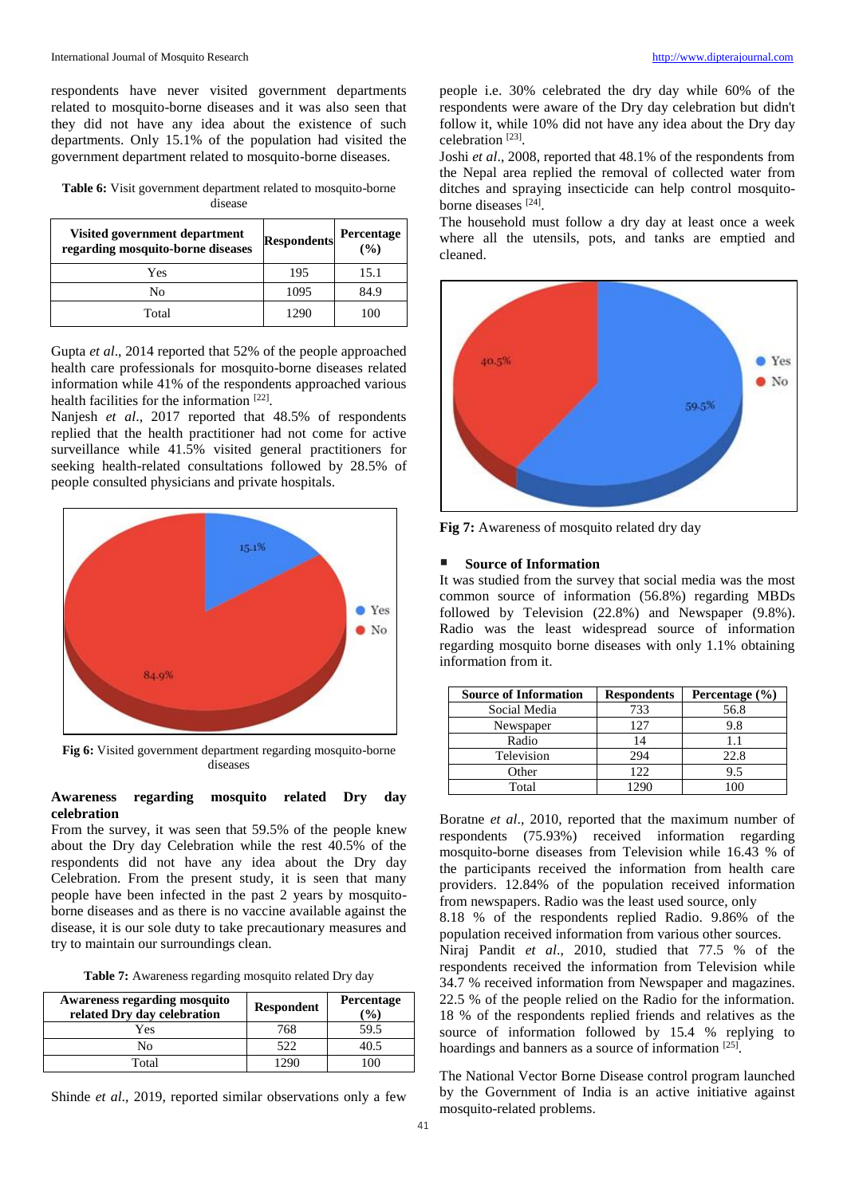respondents have never visited government departments related to mosquito-borne diseases and it was also seen that they did not have any idea about the existence of such departments. Only 15.1% of the population had visited the government department related to mosquito-borne diseases.

**Table 6:** Visit government department related to mosquito-borne disease

| Visited government department<br>regarding mosquito-borne diseases | <b>Respondents</b> | Percentage<br>(9/0) |
|--------------------------------------------------------------------|--------------------|---------------------|
| Yes                                                                | 195                | 15.1                |
| No                                                                 | 1095               | 84.9                |
| Total                                                              | 1290               | 100                 |

Gupta *et al*., 2014 reported that 52% of the people approached health care professionals for mosquito-borne diseases related information while 41% of the respondents approached various health facilities for the information [22].

Nanjesh *et al*., 2017 reported that 48.5% of respondents replied that the health practitioner had not come for active surveillance while 41.5% visited general practitioners for seeking health-related consultations followed by 28.5% of people consulted physicians and private hospitals.



**Fig 6:** Visited government department regarding mosquito-borne diseases

#### **Awareness regarding mosquito related Dry day celebration**

From the survey, it was seen that 59.5% of the people knew about the Dry day Celebration while the rest 40.5% of the respondents did not have any idea about the Dry day Celebration. From the present study, it is seen that many people have been infected in the past 2 years by mosquitoborne diseases and as there is no vaccine available against the disease, it is our sole duty to take precautionary measures and try to maintain our surroundings clean.

**Table 7:** Awareness regarding mosquito related Dry day

| <b>Awareness regarding mosquito</b><br>related Dry day celebration | <b>Respondent</b> | <b>Percentage</b><br>$\mathcal{O}_0$ |
|--------------------------------------------------------------------|-------------------|--------------------------------------|
| Yes                                                                | 768               | 59.5                                 |
| Nο                                                                 | 522               | 40.5                                 |
| Total                                                              | 1290              | 100                                  |

Shinde *et al*., 2019, reported similar observations only a few

people i.e. 30% celebrated the dry day while 60% of the respondents were aware of the Dry day celebration but didn't follow it, while 10% did not have any idea about the Dry day celebration [23] .

Joshi *et al*., 2008, reported that 48.1% of the respondents from the Nepal area replied the removal of collected water from ditches and spraying insecticide can help control mosquitoborne diseases [24].

The household must follow a dry day at least once a week where all the utensils, pots, and tanks are emptied and cleaned.



**Fig 7:** Awareness of mosquito related dry day

#### **Source of Information**

It was studied from the survey that social media was the most common source of information (56.8%) regarding MBDs followed by Television (22.8%) and Newspaper (9.8%). Radio was the least widespread source of information regarding mosquito borne diseases with only 1.1% obtaining information from it.

| <b>Source of Information</b> | <b>Respondents</b> | Percentage $(\% )$ |
|------------------------------|--------------------|--------------------|
| Social Media                 | 733                | 56.8               |
| Newspaper                    | 127                | 9.8                |
| Radio                        | 14                 |                    |
| Television                   | 294                | 22.8               |
| Other                        | 122                | 9.5                |
| Total                        | 129C               |                    |

Boratne *et al*., 2010, reported that the maximum number of respondents (75.93%) received information regarding mosquito-borne diseases from Television while 16.43 % of the participants received the information from health care providers. 12.84% of the population received information from newspapers. Radio was the least used source, only

8.18 % of the respondents replied Radio. 9.86% of the population received information from various other sources.

Niraj Pandit *et al*., 2010, studied that 77.5 % of the respondents received the information from Television while 34.7 % received information from Newspaper and magazines. 22.5 % of the people relied on the Radio for the information. 18 % of the respondents replied friends and relatives as the source of information followed by 15.4 % replying to hoardings and banners as a source of information [25].

The National Vector Borne Disease control program launched by the Government of India is an active initiative against mosquito-related problems.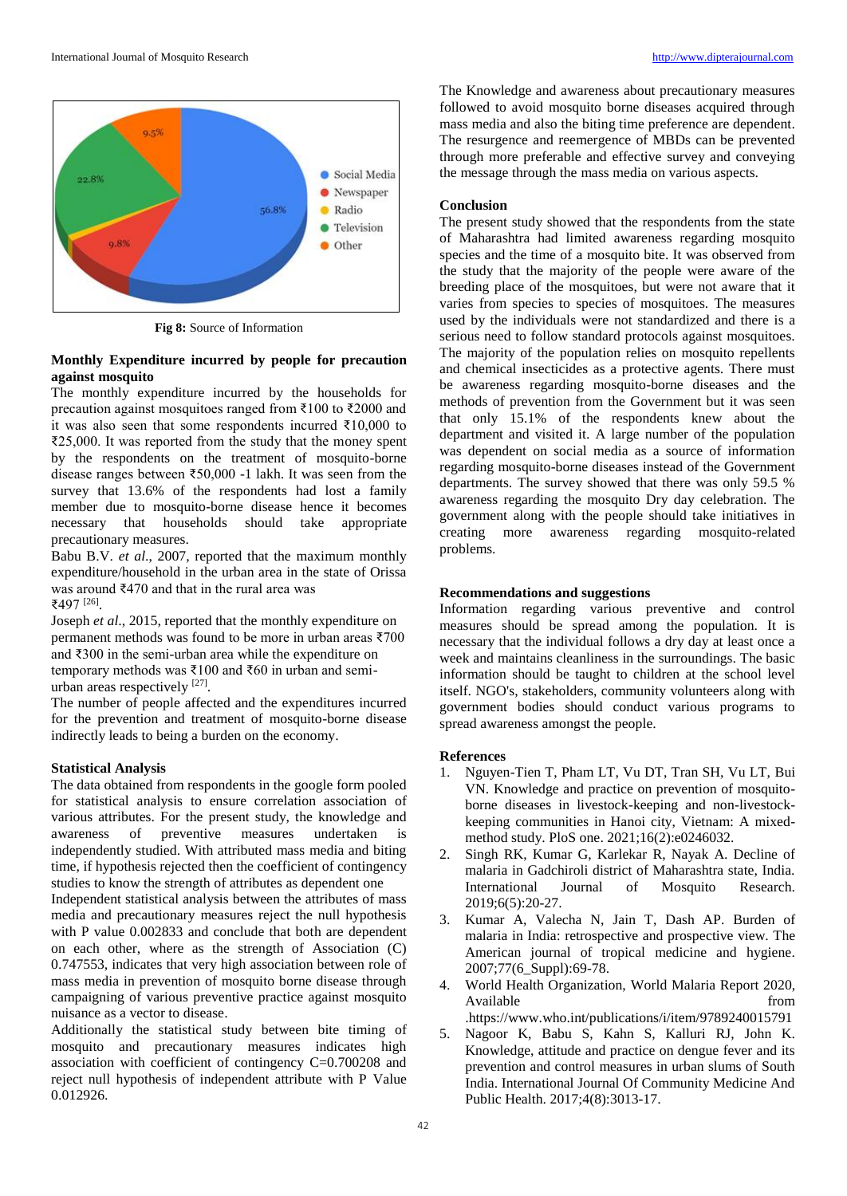

**Fig 8:** Source of Information

# **Monthly Expenditure incurred by people for precaution against mosquito**

The monthly expenditure incurred by the households for precaution against mosquitoes ranged from ₹100 to ₹2000 and it was also seen that some respondents incurred ₹10,000 to ₹25,000. It was reported from the study that the money spent by the respondents on the treatment of mosquito-borne disease ranges between ₹50,000 -1 lakh. It was seen from the survey that 13.6% of the respondents had lost a family member due to mosquito-borne disease hence it becomes necessary that households should take appropriate precautionary measures.

Babu B.V. *et al*., 2007, reported that the maximum monthly expenditure/household in the urban area in the state of Orissa was around ₹470 and that in the rural area was ₹497 [26] .

Joseph *et al*., 2015, reported that the monthly expenditure on permanent methods was found to be more in urban areas ₹700 and ₹300 in the semi-urban area while the expenditure on temporary methods was ₹100 and ₹60 in urban and semiurban areas respectively  $[27]$ .

The number of people affected and the expenditures incurred for the prevention and treatment of mosquito-borne disease indirectly leads to being a burden on the economy.

#### **Statistical Analysis**

The data obtained from respondents in the google form pooled for statistical analysis to ensure correlation association of various attributes. For the present study, the knowledge and awareness of preventive measures undertaken is independently studied. With attributed mass media and biting time, if hypothesis rejected then the coefficient of contingency studies to know the strength of attributes as dependent one Independent statistical analysis between the attributes of mass media and precautionary measures reject the null hypothesis with P value 0.002833 and conclude that both are dependent on each other, where as the strength of Association (C) 0.747553, indicates that very high association between role of mass media in prevention of mosquito borne disease through campaigning of various preventive practice against mosquito nuisance as a vector to disease.

Additionally the statistical study between bite timing of mosquito and precautionary measures indicates high association with coefficient of contingency C=0.700208 and reject null hypothesis of independent attribute with P Value 0.012926.

The Knowledge and awareness about precautionary measures followed to avoid mosquito borne diseases acquired through mass media and also the biting time preference are dependent. The resurgence and reemergence of MBDs can be prevented through more preferable and effective survey and conveying the message through the mass media on various aspects.

#### **Conclusion**

The present study showed that the respondents from the state of Maharashtra had limited awareness regarding mosquito species and the time of a mosquito bite. It was observed from the study that the majority of the people were aware of the breeding place of the mosquitoes, but were not aware that it varies from species to species of mosquitoes. The measures used by the individuals were not standardized and there is a serious need to follow standard protocols against mosquitoes. The majority of the population relies on mosquito repellents and chemical insecticides as a protective agents. There must be awareness regarding mosquito-borne diseases and the methods of prevention from the Government but it was seen that only 15.1% of the respondents knew about the department and visited it. A large number of the population was dependent on social media as a source of information regarding mosquito-borne diseases instead of the Government departments. The survey showed that there was only 59.5 % awareness regarding the mosquito Dry day celebration. The government along with the people should take initiatives in creating more awareness regarding mosquito-related problems.

#### **Recommendations and suggestions**

Information regarding various preventive and control measures should be spread among the population. It is necessary that the individual follows a dry day at least once a week and maintains cleanliness in the surroundings. The basic information should be taught to children at the school level itself. NGO's, stakeholders, community volunteers along with government bodies should conduct various programs to spread awareness amongst the people.

#### **References**

- 1. Nguyen-Tien T, Pham LT, Vu DT, Tran SH, Vu LT, Bui VN. Knowledge and practice on prevention of mosquitoborne diseases in livestock-keeping and non-livestockkeeping communities in Hanoi city, Vietnam: A mixedmethod study. PloS one. 2021;16(2):e0246032.
- 2. Singh RK, Kumar G, Karlekar R, Nayak A. Decline of malaria in Gadchiroli district of Maharashtra state, India. International Journal of Mosquito Research. 2019;6(5):20-27.
- 3. Kumar A, Valecha N, Jain T, Dash AP. Burden of malaria in India: retrospective and prospective view. The American journal of tropical medicine and hygiene. 2007;77(6\_Suppl):69-78.
- 4. World Health Organization, World Malaria Report 2020, Available from  $\blacksquare$ .https://www.who.int/publications/i/item/9789240015791
- 5. Nagoor K, Babu S, Kahn S, Kalluri RJ, John K. Knowledge, attitude and practice on dengue fever and its prevention and control measures in urban slums of South India. International Journal Of Community Medicine And Public Health. 2017;4(8):3013-17.